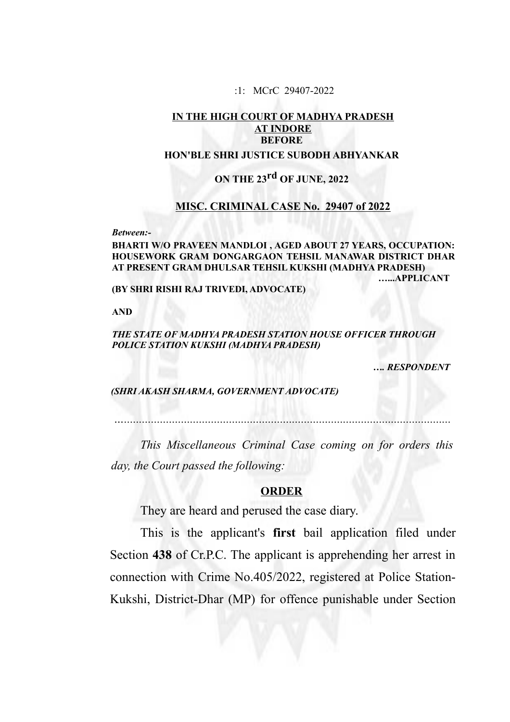:1: MCrC 29407-2022

# **IN THE HIGH COURT OF MADHYA PRADESH AT INDORE BEFORE**

## **HON'BLE SHRI JUSTICE SUBODH ABHYANKAR**

# **ON THE 23rd OF JUNE, 2022**

### **MISC. CRIMINAL CASE No. 29407 of 2022**

*Between:-*

**BHARTI W/O PRAVEEN MANDLOI , AGED ABOUT 27 YEARS, OCCUPATION: HOUSEWORK GRAM DONGARGAON TEHSIL MANAWAR DISTRICT DHAR AT PRESENT GRAM DHULSAR TEHSIL KUKSHI (MADHYA PRADESH) …...APPLICANT**

**(BY SHRI RISHI RAJ TRIVEDI, ADVOCATE)**

**AND**

#### *THE STATE OF MADHYA PRADESH STATION HOUSE OFFICER THROUGH POLICE STATION KUKSHI (MADHYA PRADESH)*

 *…. RESPONDENT*

 *(SHRI AKASH SHARMA, GOVERNMENT ADVOCATE)*

*….............................................................................................................*

*This Miscellaneous Criminal Case coming on for orders this day, the Court passed the following:*

#### **ORDER**

They are heard and perused the case diary.

This is the applicant's **first** bail application filed under Section **438** of Cr.P.C. The applicant is apprehending her arrest in connection with Crime No.405/2022, registered at Police Station-Kukshi, District-Dhar (MP) for offence punishable under Section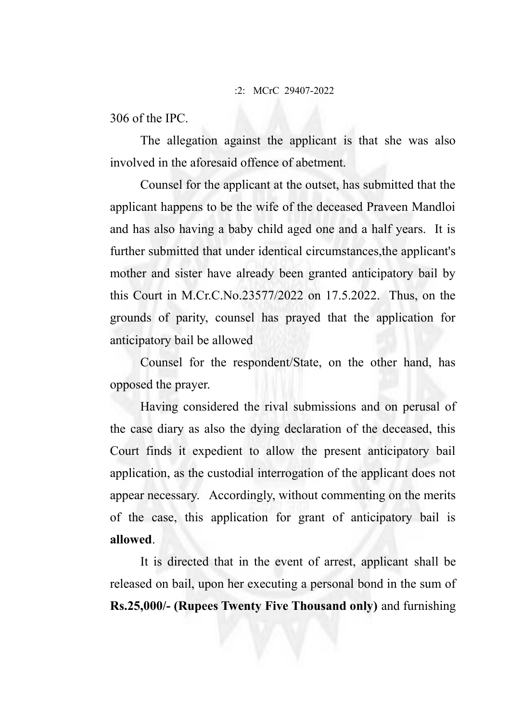### :2: MCrC 29407-2022

306 of the IPC.

The allegation against the applicant is that she was also involved in the aforesaid offence of abetment.

Counsel for the applicant at the outset, has submitted that the applicant happens to be the wife of the deceased Praveen Mandloi and has also having a baby child aged one and a half years. It is further submitted that under identical circumstances,the applicant's mother and sister have already been granted anticipatory bail by this Court in M.Cr.C.No.23577/2022 on 17.5.2022. Thus, on the grounds of parity, counsel has prayed that the application for anticipatory bail be allowed

Counsel for the respondent/State, on the other hand, has opposed the prayer.

Having considered the rival submissions and on perusal of the case diary as also the dying declaration of the deceased, this Court finds it expedient to allow the present anticipatory bail application, as the custodial interrogation of the applicant does not appear necessary. Accordingly, without commenting on the merits of the case, this application for grant of anticipatory bail is **allowed**.

It is directed that in the event of arrest, applicant shall be released on bail, upon her executing a personal bond in the sum of **Rs.25,000/- (Rupees Twenty Five Thousand only)** and furnishing